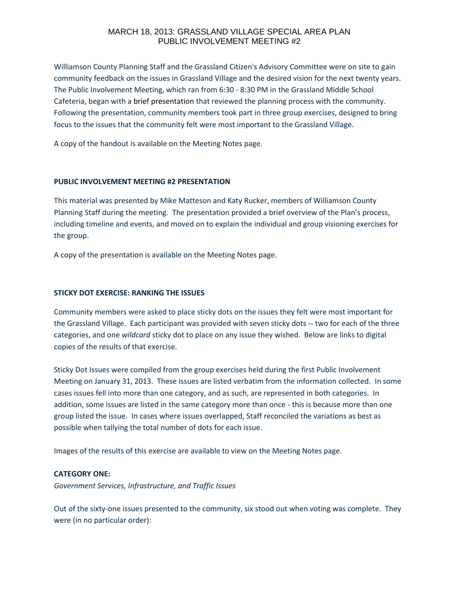# MARCH 18, 2013: GRASSLAND VILLAGE SPECIAL AREA PLAN PUBLIC INVOLVEMENT MEETING #2

Williamson County Planning Staff and the Grassland Citizen's Advisory Committee were on site to gain community feedback on the issues in Grassland Village and the desired vision for the next twenty years. The Public Involvement Meeting, which ran from 6:30 - 8:30 PM in the Grassland Middle School Cafeteria, began with a brief presentation that reviewed the planning process with the community. Following the presentation, community members took part in three group exercises, designed to bring focus to the issues that the community felt were most important to the Grassland Village.

A copy of the handout is available on the Meeting Notes page.

## **PUBLIC INVOLVEMENT MEETING #2 PRESENTATION**

This material was presented by Mike Matteson and Katy Rucker, members of Williamson County Planning Staff during the meeting. The presentation provided a brief overview of the Plan's process, including timeline and events, and moved on to explain the individual and group visioning exercises for the group.

A copy of the presentation is available on the Meeting Notes page.

#### **STICKY DOT EXERCISE: RANKING THE ISSUES**

Community members were asked to place sticky dots on the issues they felt were most important for the Grassland Village. Each participant was provided with seven sticky dots -- two for each of the three categories, and one *wildcard* sticky dot to place on any issue they wished. Below are links to digital copies of the results of that exercise.

Sticky Dot Issues were compiled from the group exercises held during the first Public Involvement Meeting on January 31, 2013. These issues are listed verbatim from the information collected. In some cases issues fell into more than one category, and as such, are represented in both categories. In addition, some issues are listed in the same category more than once - this is because more than one group listed the issue. In cases where issues overlapped, Staff reconciled the variations as best as possible when tallying the total number of dots for each issue.

Images of the results of this exercise are available to view on the Meeting Notes page.

#### **CATEGORY ONE:**

*Government Services, Infrastructure, and Traffic Issues*

Out of the sixty-one issues presented to the community, six stood out when voting was complete. They were (in no particular order):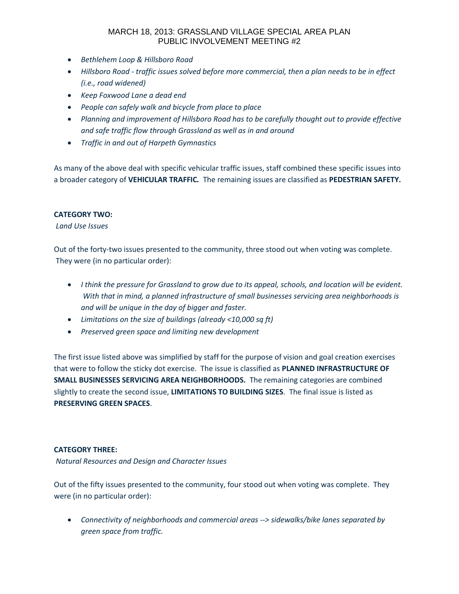# MARCH 18, 2013: GRASSLAND VILLAGE SPECIAL AREA PLAN PUBLIC INVOLVEMENT MEETING #2

- *Bethlehem Loop & Hillsboro Road*
- *Hillsboro Road - traffic issues solved before more commercial, then a plan needs to be in effect (i.e., road widened)*
- *Keep Foxwood Lane a dead end*
- *People can safely walk and bicycle from place to place*
- *Planning and improvement of Hillsboro Road has to be carefully thought out to provide effective and safe traffic flow through Grassland as well as in and around*
- *Traffic in and out of Harpeth Gymnastics*

As many of the above deal with specific vehicular traffic issues, staff combined these specific issues into a broader category of **VEHICULAR TRAFFIC***.* The remaining issues are classified as **PEDESTRIAN SAFETY.**

# **CATEGORY TWO:**

## *Land Use Issues*

Out of the forty-two issues presented to the community, three stood out when voting was complete. They were (in no particular order):

- *I think the pressure for Grassland to grow due to its appeal, schools, and location will be evident. With that in mind, a planned infrastructure of small businesses servicing area neighborhoods is and will be unique in the day of bigger and faster.*
- *Limitations on the size of buildings (already <10,000 sq ft)*
- *Preserved green space and limiting new development*

The first issue listed above was simplified by staff for the purpose of vision and goal creation exercises that were to follow the sticky dot exercise. The issue is classified as **PLANNED INFRASTRUCTURE OF SMALL BUSINESSES SERVICING AREA NEIGHBORHOODS.** The remaining categories are combined slightly to create the second issue, **LIMITATIONS TO BUILDING SIZES**. The final issue is listed as **PRESERVING GREEN SPACES**.

## **CATEGORY THREE:**

*Natural Resources and Design and Character Issues*

Out of the fifty issues presented to the community, four stood out when voting was complete. They were (in no particular order):

 *Connectivity of neighborhoods and commercial areas --> sidewalks/bike lanes separated by green space from traffic.*